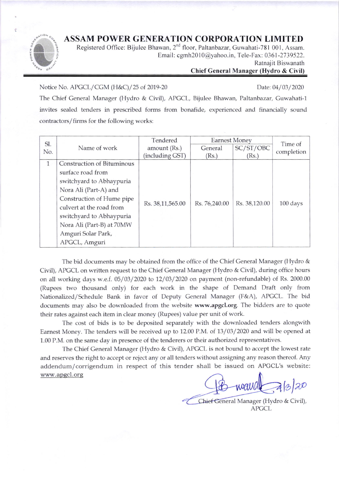## ASSAM POWER GENERATION CORPORATION LIMITED



Registered Office: Bijulee Bhawan, 2<sup>nd</sup> floor, Paltanbazar, Guwahati-781 001, Assam. Email: cgmh2010@yahoo.in, Tele-Fax: 0361-2739522.

Ratnajit Biswanath

## Chief General Manager (Hydro & Civil)

Notice No. APGCL/ CGM (H&C) / 25 of 2019-20 Date: 04 / 03 / 2020

The Chief General Manager (Hydro & Civil), APGCL, Bijulee Bhawan, Paltanbazar, Guwahati-1 invites sealed tenders in prescribed forms from bonafide, experienced and financially sound contractors/ firms for the following works:

| Sl.          |                                   | Tendered         | <b>Earnest Money</b> |               | Time of            |  |
|--------------|-----------------------------------|------------------|----------------------|---------------|--------------------|--|
| No.          | Name of work                      | amount (Rs.)     | General              | SC/ST/OBC     | completion         |  |
|              |                                   | (including GST)  | (Rs.)                | (Rs.)         |                    |  |
| $\mathbf{1}$ | <b>Construction of Bituminous</b> |                  |                      |               |                    |  |
|              | surface road from                 |                  |                      |               |                    |  |
|              | switchyard to Abhaypuria          | Rs. 38,11,565.00 | Rs. 76,240.00        | Rs. 38,120.00 | $100 \text{ days}$ |  |
|              | Nora Ali (Part-A) and             |                  |                      |               |                    |  |
|              | Construction of Hume pipe         |                  |                      |               |                    |  |
|              | culvert at the road from          |                  |                      |               |                    |  |
|              | switchyard to Abhaypuria          |                  |                      |               |                    |  |
|              | Nora Ali (Part-B) at 70MW         |                  |                      |               |                    |  |
|              | Amguri Solar Park,                |                  |                      |               |                    |  |
|              | APGCL, Amguri                     |                  |                      |               |                    |  |

The bid documents may be obtained from the office of the Chief General Manager (Hydro & Civit), APGCL on written request to the Chief General Manager (Hydro & Civil), during office hours on all working days w.e.f. 05/03/2020 to 12/03/2020 on payment (non-refundable) of Rs. 2000.00 (Rupees tvvo thousand only) for each work in the shape of Demand Draft only from Nationalized/ Schedule Bank in favor of Deputy Ceneral Manager (F&A), APCCL. The bid documents may also be downloaded from the website www.apgcl.org. The bidders are to quote their rates against each item in clear money (Rupees) value per unit of work.

The cost of bids is to be deposited separately with the downloaded tenders alongwith Earnest Money. The tenders will be received up to 12.00 P.M. of 13/03/2020 and will be opened at 1.00 P.M. on the same day in presence of the tenderers or their authorized representatives.

The Chief General Manager (Hydro & Civil), APGCL is not bound to accept the lowest rate and reserves the right to accept or reject any or all tenders without assigning any reason thereof. Any addendum/corrigendum in respect of this tender shall be issued on APGCL's website: www. apgcl. org

wand a blao

neral Manager (Hydro & Civil), APGCL